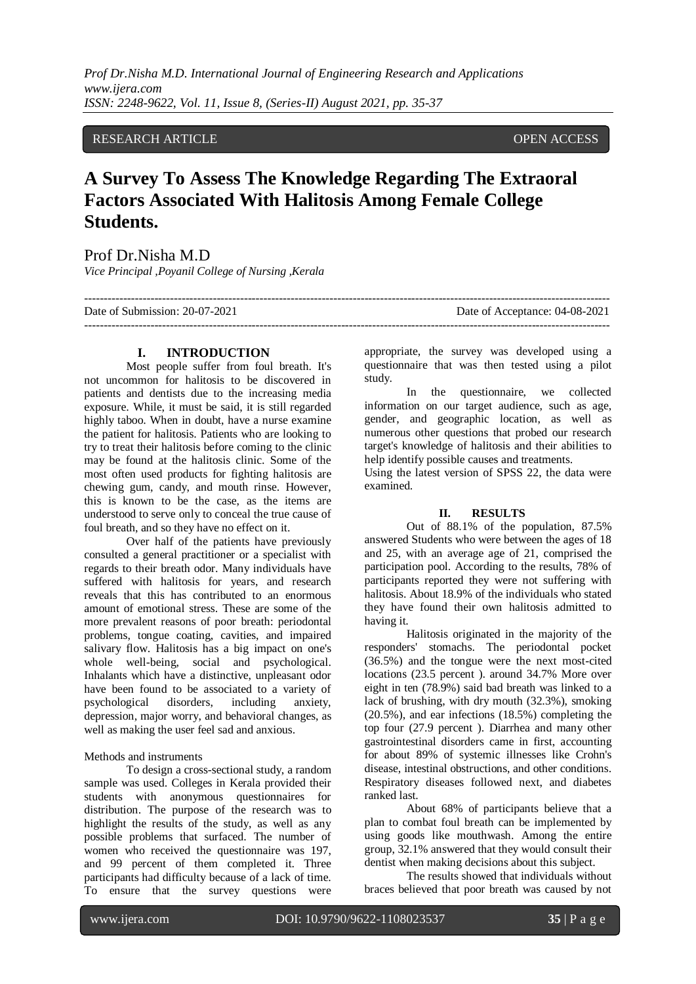*Prof Dr.Nisha M.D. International Journal of Engineering Research and Applications www.ijera.com ISSN: 2248-9622, Vol. 11, Issue 8, (Series-II) August 2021, pp. 35-37*

### RESEARCH ARTICLE **CONSERVANCE OPEN ACCESS**

# **A Survey To Assess The Knowledge Regarding The Extraoral Factors Associated With Halitosis Among Female College Students.**

## Prof Dr.Nisha M.D

*Vice Principal ,Poyanil College of Nursing ,Kerala*

| Date of Submission: 20-07-2021 | Date of Acceptance: 04-08-2021 |
|--------------------------------|--------------------------------|
|                                |                                |

#### **I. INTRODUCTION**

Most people suffer from foul breath. It's not uncommon for halitosis to be discovered in patients and dentists due to the increasing media exposure. While, it must be said, it is still regarded highly taboo. When in doubt, have a nurse examine the patient for halitosis. Patients who are looking to try to treat their halitosis before coming to the clinic may be found at the halitosis clinic. Some of the most often used products for fighting halitosis are chewing gum, candy, and mouth rinse. However, this is known to be the case, as the items are understood to serve only to conceal the true cause of foul breath, and so they have no effect on it.

Over half of the patients have previously consulted a general practitioner or a specialist with regards to their breath odor. Many individuals have suffered with halitosis for years, and research reveals that this has contributed to an enormous amount of emotional stress. These are some of the more prevalent reasons of poor breath: periodontal problems, tongue coating, cavities, and impaired salivary flow. Halitosis has a big impact on one's whole well-being, social and psychological. Inhalants which have a distinctive, unpleasant odor have been found to be associated to a variety of psychological disorders, including anxiety, depression, major worry, and behavioral changes, as well as making the user feel sad and anxious.

Methods and instruments

To design a cross-sectional study, a random sample was used. Colleges in Kerala provided their students with anonymous questionnaires for distribution. The purpose of the research was to highlight the results of the study, as well as any possible problems that surfaced. The number of women who received the questionnaire was 197, and 99 percent of them completed it. Three participants had difficulty because of a lack of time. To ensure that the survey questions were appropriate, the survey was developed using a questionnaire that was then tested using a pilot study.

In the questionnaire, we collected information on our target audience, such as age, gender, and geographic location, as well as numerous other questions that probed our research target's knowledge of halitosis and their abilities to help identify possible causes and treatments.

Using the latest version of SPSS 22, the data were examined.

#### **II. RESULTS**

Out of 88.1% of the population, 87.5% answered Students who were between the ages of 18 and 25, with an average age of 21, comprised the participation pool. According to the results, 78% of participants reported they were not suffering with halitosis. About 18.9% of the individuals who stated they have found their own halitosis admitted to having it.

Halitosis originated in the majority of the responders' stomachs. The periodontal pocket (36.5%) and the tongue were the next most-cited locations (23.5 percent ). around 34.7% More over eight in ten (78.9%) said bad breath was linked to a lack of brushing, with dry mouth (32.3%), smoking (20.5%), and ear infections (18.5%) completing the top four (27.9 percent ). Diarrhea and many other gastrointestinal disorders came in first, accounting for about 89% of systemic illnesses like Crohn's disease, intestinal obstructions, and other conditions. Respiratory diseases followed next, and diabetes ranked last.

About 68% of participants believe that a plan to combat foul breath can be implemented by using goods like mouthwash. Among the entire group, 32.1% answered that they would consult their dentist when making decisions about this subject.

The results showed that individuals without braces believed that poor breath was caused by not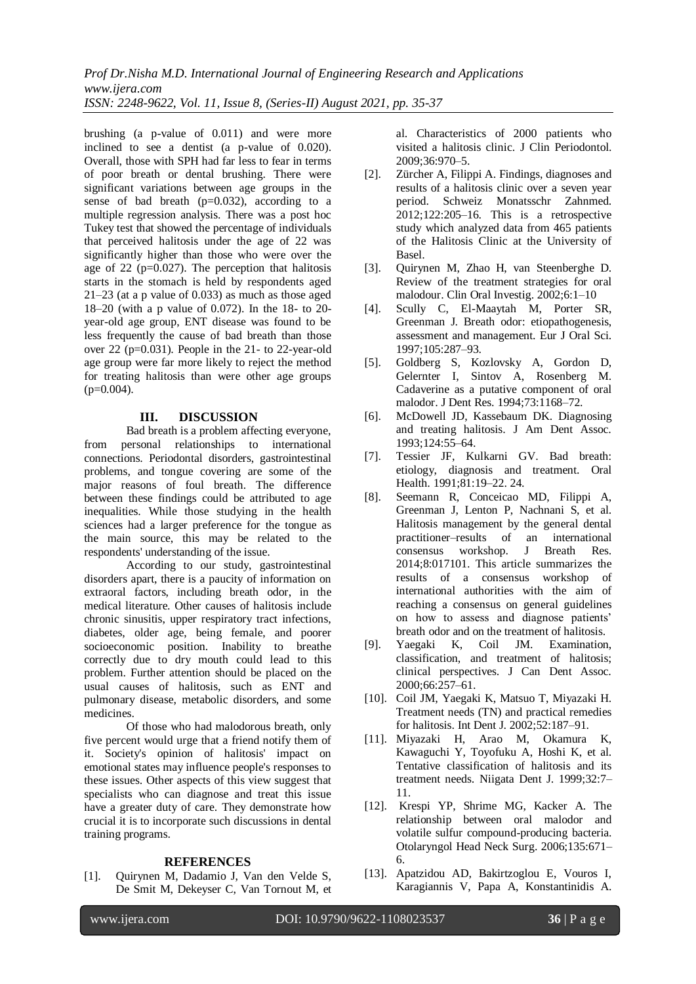*Prof Dr.Nisha M.D. International Journal of Engineering Research and Applications www.ijera.com ISSN: 2248-9622, Vol. 11, Issue 8, (Series-II) August 2021, pp. 35-37*

brushing (a p-value of 0.011) and were more inclined to see a dentist (a p-value of 0.020). Overall, those with SPH had far less to fear in terms of poor breath or dental brushing. There were significant variations between age groups in the sense of bad breath  $(p=0.032)$ , according to a multiple regression analysis. There was a post hoc Tukey test that showed the percentage of individuals that perceived halitosis under the age of 22 was significantly higher than those who were over the age of  $22$  ( $p=0.027$ ). The perception that halitosis starts in the stomach is held by respondents aged 21–23 (at a p value of 0.033) as much as those aged 18–20 (with a p value of 0.072). In the 18- to 20 year-old age group, ENT disease was found to be less frequently the cause of bad breath than those over 22 (p=0.031). People in the 21- to 22-year-old age group were far more likely to reject the method for treating halitosis than were other age groups  $(p=0.004)$ .

#### **III. DISCUSSION**

Bad breath is a problem affecting everyone, from personal relationships to international connections. Periodontal disorders, gastrointestinal problems, and tongue covering are some of the major reasons of foul breath. The difference between these findings could be attributed to age inequalities. While those studying in the health sciences had a larger preference for the tongue as the main source, this may be related to the respondents' understanding of the issue.

According to our study, gastrointestinal disorders apart, there is a paucity of information on extraoral factors, including breath odor, in the medical literature. Other causes of halitosis include chronic sinusitis, upper respiratory tract infections, diabetes, older age, being female, and poorer socioeconomic position. Inability to breathe correctly due to dry mouth could lead to this problem. Further attention should be placed on the usual causes of halitosis, such as ENT and pulmonary disease, metabolic disorders, and some medicines.

Of those who had malodorous breath, only five percent would urge that a friend notify them of it. Society's opinion of halitosis' impact on emotional states may influence people's responses to these issues. Other aspects of this view suggest that specialists who can diagnose and treat this issue have a greater duty of care. They demonstrate how crucial it is to incorporate such discussions in dental training programs.

#### **REFERENCES**

[1]. Quirynen M, Dadamio J, Van den Velde S, De Smit M, Dekeyser C, Van Tornout M, et al. Characteristics of 2000 patients who visited a halitosis clinic. J Clin Periodontol. 2009;36:970–5.

- [2]. Zürcher A, Filippi A. Findings, diagnoses and results of a halitosis clinic over a seven year period. Schweiz Monatsschr Zahnmed. 2012;122:205–16. This is a retrospective study which analyzed data from 465 patients of the Halitosis Clinic at the University of Basel.
- [3]. Quirynen M, Zhao H, van Steenberghe D. Review of the treatment strategies for oral malodour. Clin Oral Investig. 2002;6:1–10
- [4]. Scully C, El-Maaytah M, Porter SR, Greenman J. Breath odor: etiopathogenesis, assessment and management. Eur J Oral Sci. 1997;105:287–93.
- [5]. Goldberg S, Kozlovsky A, Gordon D, Gelernter I, Sintov A, Rosenberg M. Cadaverine as a putative component of oral malodor. J Dent Res. 1994;73:1168–72.
- [6]. McDowell JD, Kassebaum DK. Diagnosing and treating halitosis. J Am Dent Assoc. 1993;124:55–64.
- [7]. Tessier JF, Kulkarni GV. Bad breath: etiology, diagnosis and treatment. Oral Health. 1991;81:19–22. 24.
- [8]. Seemann R, Conceicao MD, Filippi A, Greenman J, Lenton P, Nachnani S, et al. Halitosis management by the general dental practitioner–results of an international consensus workshop. J Breath Res. 2014;8:017101. This article summarizes the results of a consensus workshop of international authorities with the aim of reaching a consensus on general guidelines on how to assess and diagnose patients' breath odor and on the treatment of halitosis.
- [9]. Yaegaki K, Coil JM. Examination, classification, and treatment of halitosis; clinical perspectives. J Can Dent Assoc. 2000;66:257–61.
- [10]. Coil JM, Yaegaki K, Matsuo T, Miyazaki H. Treatment needs (TN) and practical remedies for halitosis. Int Dent J. 2002;52:187–91.
- [11]. Miyazaki H, Arao M, Okamura K, Kawaguchi Y, Toyofuku A, Hoshi K, et al. Tentative classification of halitosis and its treatment needs. Niigata Dent J. 1999;32:7– 11.
- [12]. Krespi YP, Shrime MG, Kacker A. The relationship between oral malodor and volatile sulfur compound-producing bacteria. Otolaryngol Head Neck Surg. 2006;135:671– 6.
- [13]. Apatzidou AD, Bakirtzoglou E, Vouros I, Karagiannis V, Papa A, Konstantinidis A.